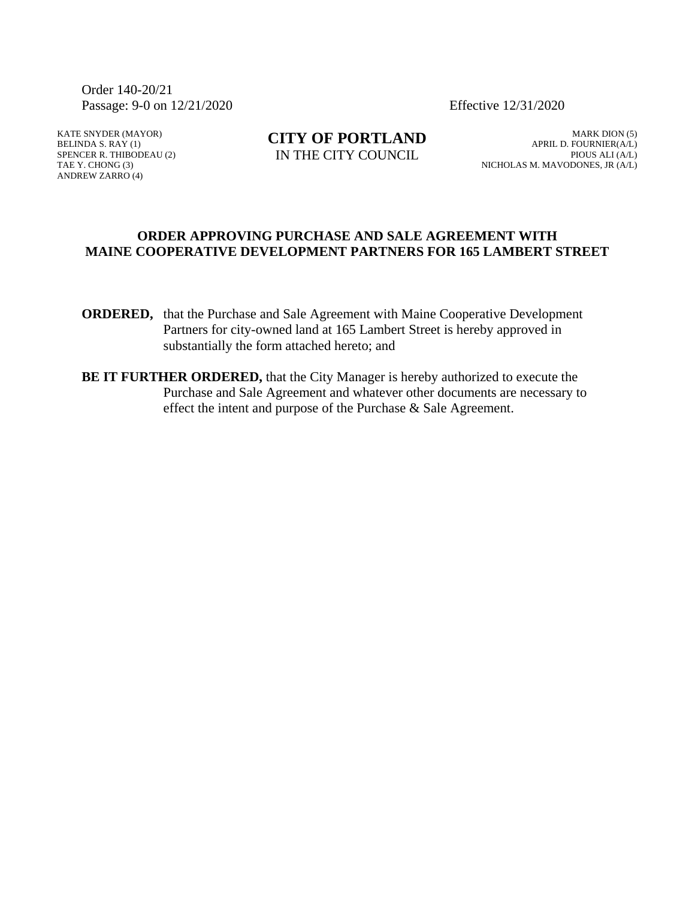Order 140-20/21 Passage: 9-0 on 12/21/2020 Effective 12/31/2020

KATE SNYDER (MAYOR) BELINDA S. RAY (1) SPENCER R. THIBODEAU (2) TAE Y. CHONG (3) ANDREW ZARRO (4)

**CITY OF PORTLAND** IN THE CITY COUNCIL

MARK DION (5) APRIL D. FOURNIER(A/L) PIOUS ALI (A/L) NICHOLAS M. MAVODONES, JR (A/L)

#### **ORDER APPROVING PURCHASE AND SALE AGREEMENT WITH MAINE COOPERATIVE DEVELOPMENT PARTNERS FOR 165 LAMBERT STREET**

- **ORDERED,** that the Purchase and Sale Agreement with Maine Cooperative Development Partners for city-owned land at 165 Lambert Street is hereby approved in substantially the form attached hereto; and
- **BE IT FURTHER ORDERED,** that the City Manager is hereby authorized to execute the Purchase and Sale Agreement and whatever other documents are necessary to effect the intent and purpose of the Purchase & Sale Agreement.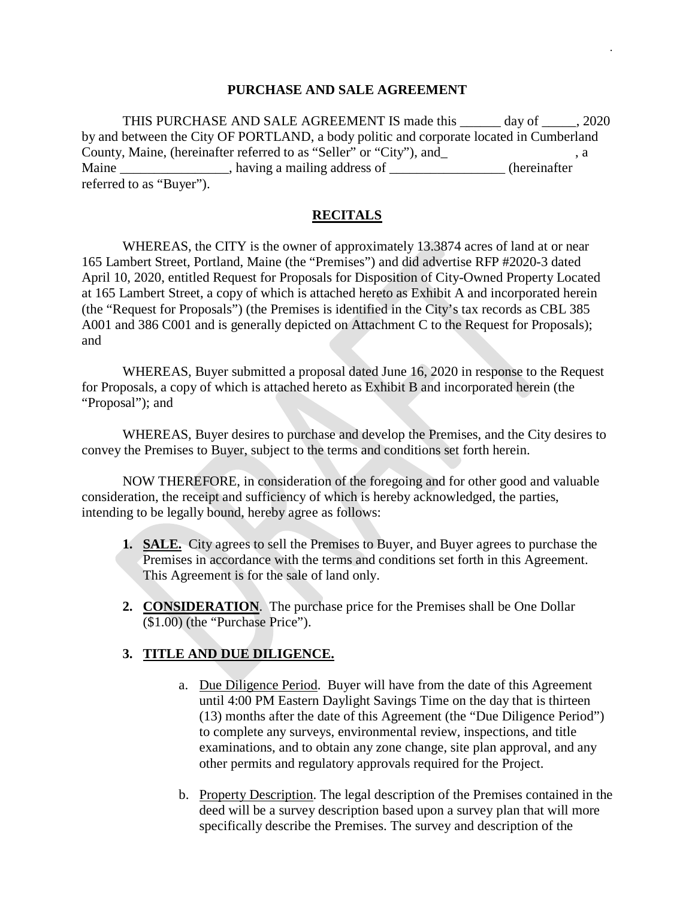#### **PURCHASE AND SALE AGREEMENT**

.

THIS PURCHASE AND SALE AGREEMENT IS made this day of . 2020 by and between the City OF PORTLAND, a body politic and corporate located in Cumberland County, Maine, (hereinafter referred to as "Seller" or "City"), and\_ , a Maine \_\_\_\_\_\_\_\_\_\_\_\_\_\_\_, having a mailing address of \_\_\_\_\_\_\_\_\_\_\_\_\_\_\_\_(hereinafter referred to as "Buyer").

#### **RECITALS**

WHEREAS, the CITY is the owner of approximately 13.3874 acres of land at or near 165 Lambert Street, Portland, Maine (the "Premises") and did advertise RFP #2020-3 dated April 10, 2020, entitled Request for Proposals for Disposition of City-Owned Property Located at 165 Lambert Street, a copy of which is attached hereto as Exhibit A and incorporated herein (the "Request for Proposals") (the Premises is identified in the City's tax records as CBL 385 A001 and 386 C001 and is generally depicted on Attachment C to the Request for Proposals); and

WHEREAS, Buyer submitted a proposal dated June 16, 2020 in response to the Request for Proposals, a copy of which is attached hereto as Exhibit B and incorporated herein (the "Proposal"); and

WHEREAS, Buyer desires to purchase and develop the Premises, and the City desires to convey the Premises to Buyer, subject to the terms and conditions set forth herein.

NOW THEREFORE, in consideration of the foregoing and for other good and valuable consideration, the receipt and sufficiency of which is hereby acknowledged, the parties, intending to be legally bound, hereby agree as follows:

- **1. SALE.** City agrees to sell the Premises to Buyer, and Buyer agrees to purchase the Premises in accordance with the terms and conditions set forth in this Agreement. This Agreement is for the sale of land only.
- **2. CONSIDERATION**. The purchase price for the Premises shall be One Dollar (\$1.00) (the "Purchase Price").

## **3. TITLE AND DUE DILIGENCE.**

- a. Due Diligence Period. Buyer will have from the date of this Agreement until 4:00 PM Eastern Daylight Savings Time on the day that is thirteen (13) months after the date of this Agreement (the "Due Diligence Period") to complete any surveys, environmental review, inspections, and title examinations, and to obtain any zone change, site plan approval, and any other permits and regulatory approvals required for the Project.
- b. Property Description. The legal description of the Premises contained in the deed will be a survey description based upon a survey plan that will more specifically describe the Premises. The survey and description of the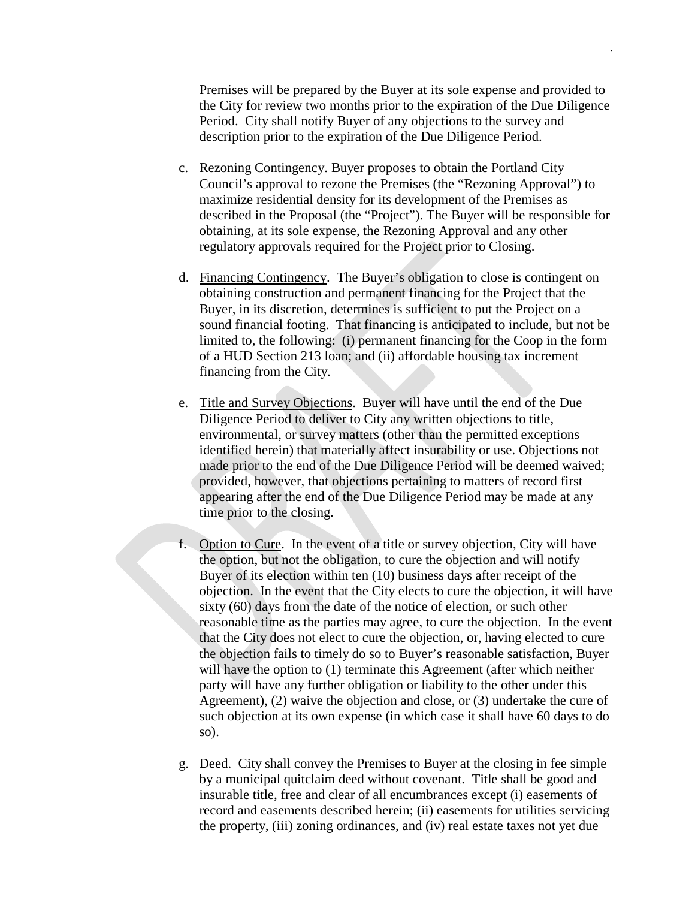Premises will be prepared by the Buyer at its sole expense and provided to the City for review two months prior to the expiration of the Due Diligence Period. City shall notify Buyer of any objections to the survey and description prior to the expiration of the Due Diligence Period.

- c. Rezoning Contingency. Buyer proposes to obtain the Portland City Council's approval to rezone the Premises (the "Rezoning Approval") to maximize residential density for its development of the Premises as described in the Proposal (the "Project"). The Buyer will be responsible for obtaining, at its sole expense, the Rezoning Approval and any other regulatory approvals required for the Project prior to Closing.
- d. Financing Contingency. The Buyer's obligation to close is contingent on obtaining construction and permanent financing for the Project that the Buyer, in its discretion, determines is sufficient to put the Project on a sound financial footing. That financing is anticipated to include, but not be limited to, the following: (i) permanent financing for the Coop in the form of a HUD Section 213 loan; and (ii) affordable housing tax increment financing from the City.
- e. Title and Survey Objections. Buyer will have until the end of the Due Diligence Period to deliver to City any written objections to title, environmental, or survey matters (other than the permitted exceptions identified herein) that materially affect insurability or use. Objections not made prior to the end of the Due Diligence Period will be deemed waived; provided, however, that objections pertaining to matters of record first appearing after the end of the Due Diligence Period may be made at any time prior to the closing.
- f. Option to Cure. In the event of a title or survey objection, City will have the option, but not the obligation, to cure the objection and will notify Buyer of its election within ten (10) business days after receipt of the objection. In the event that the City elects to cure the objection, it will have sixty (60) days from the date of the notice of election, or such other reasonable time as the parties may agree, to cure the objection. In the event that the City does not elect to cure the objection, or, having elected to cure the objection fails to timely do so to Buyer's reasonable satisfaction, Buyer will have the option to (1) terminate this Agreement (after which neither party will have any further obligation or liability to the other under this Agreement), (2) waive the objection and close, or (3) undertake the cure of such objection at its own expense (in which case it shall have 60 days to do so).
- g. Deed. City shall convey the Premises to Buyer at the closing in fee simple by a municipal quitclaim deed without covenant. Title shall be good and insurable title, free and clear of all encumbrances except (i) easements of record and easements described herein; (ii) easements for utilities servicing the property, (iii) zoning ordinances, and (iv) real estate taxes not yet due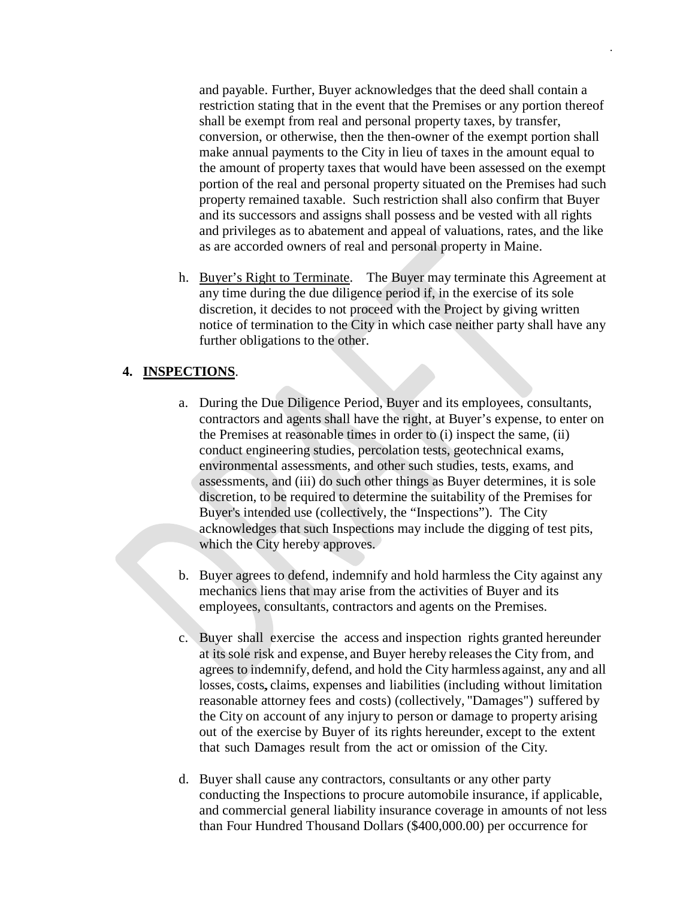and payable. Further, Buyer acknowledges that the deed shall contain a restriction stating that in the event that the Premises or any portion thereof shall be exempt from real and personal property taxes, by transfer, conversion, or otherwise, then the then-owner of the exempt portion shall make annual payments to the City in lieu of taxes in the amount equal to the amount of property taxes that would have been assessed on the exempt portion of the real and personal property situated on the Premises had such property remained taxable. Such restriction shall also confirm that Buyer and its successors and assigns shall possess and be vested with all rights and privileges as to abatement and appeal of valuations, rates, and the like as are accorded owners of real and personal property in Maine.

.

h. Buyer's Right to Terminate. The Buyer may terminate this Agreement at any time during the due diligence period if, in the exercise of its sole discretion, it decides to not proceed with the Project by giving written notice of termination to the City in which case neither party shall have any further obligations to the other.

## **4. INSPECTIONS**.

- a. During the Due Diligence Period, Buyer and its employees, consultants, contractors and agents shall have the right, at Buyer's expense, to enter on the Premises at reasonable times in order to (i) inspect the same, (ii) conduct engineering studies, percolation tests, geotechnical exams, environmental assessments, and other such studies, tests, exams, and assessments, and (iii) do such other things as Buyer determines, it is sole discretion, to be required to determine the suitability of the Premises for Buyer's intended use (collectively, the "Inspections"). The City acknowledges that such Inspections may include the digging of test pits, which the City hereby approves.
- b. Buyer agrees to defend, indemnify and hold harmless the City against any mechanics liens that may arise from the activities of Buyer and its employees, consultants, contractors and agents on the Premises.
- c. Buyer shall exercise the access and inspection rights granted hereunder at itssole risk and expense, and Buyer hereby releasesthe City from, and agrees to indemnify, defend, and hold the City harmless against, any and all losses, costs, claims, expenses and liabilities (including without limitation reasonable attorney fees and costs) (collectively, "Damages") suffered by the City on account of any injury to person or damage to property arising out of the exercise by Buyer of its rights hereunder, except to the extent that such Damages result from the act or omission of the City.
- d. Buyer shall cause any contractors, consultants or any other party conducting the Inspections to procure automobile insurance, if applicable, and commercial general liability insurance coverage in amounts of not less than Four Hundred Thousand Dollars (\$400,000.00) per occurrence for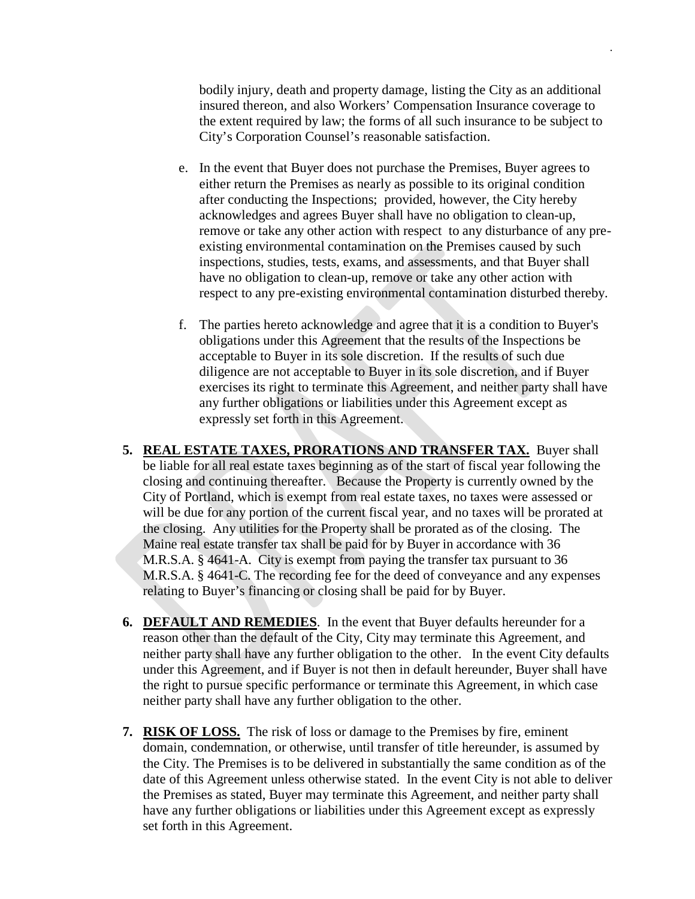bodily injury, death and property damage, listing the City as an additional insured thereon, and also Workers' Compensation Insurance coverage to the extent required by law; the forms of all such insurance to be subject to City's Corporation Counsel's reasonable satisfaction.

- e. In the event that Buyer does not purchase the Premises, Buyer agrees to either return the Premises as nearly as possible to its original condition after conducting the Inspections; provided, however, the City hereby acknowledges and agrees Buyer shall have no obligation to clean-up, remove or take any other action with respect to any disturbance of any preexisting environmental contamination on the Premises caused by such inspections, studies, tests, exams, and assessments, and that Buyer shall have no obligation to clean-up, remove or take any other action with respect to any pre-existing environmental contamination disturbed thereby.
- f. The parties hereto acknowledge and agree that it is a condition to Buyer's obligations under this Agreement that the results of the Inspections be acceptable to Buyer in its sole discretion. If the results of such due diligence are not acceptable to Buyer in its sole discretion, and if Buyer exercises its right to terminate this Agreement, and neither party shall have any further obligations or liabilities under this Agreement except as expressly set forth in this Agreement.
- **5. REAL ESTATE TAXES, PRORATIONS AND TRANSFER TAX.** Buyer shall be liable for all real estate taxes beginning as of the start of fiscal year following the closing and continuing thereafter. Because the Property is currently owned by the City of Portland, which is exempt from real estate taxes, no taxes were assessed or will be due for any portion of the current fiscal year, and no taxes will be prorated at the closing. Any utilities for the Property shall be prorated as of the closing. The Maine real estate transfer tax shall be paid for by Buyer in accordance with 36 M.R.S.A. § 4641-A. City is exempt from paying the transfer tax pursuant to 36 M.R.S.A. § 4641-C. The recording fee for the deed of conveyance and any expenses relating to Buyer's financing or closing shall be paid for by Buyer.
- **6. DEFAULT AND REMEDIES**. In the event that Buyer defaults hereunder for a reason other than the default of the City, City may terminate this Agreement, and neither party shall have any further obligation to the other. In the event City defaults under this Agreement, and if Buyer is not then in default hereunder, Buyer shall have the right to pursue specific performance or terminate this Agreement, in which case neither party shall have any further obligation to the other.
- **7. RISK OF LOSS.** The risk of loss or damage to the Premises by fire, eminent domain, condemnation, or otherwise, until transfer of title hereunder, is assumed by the City. The Premises is to be delivered in substantially the same condition as of the date of this Agreement unless otherwise stated. In the event City is not able to deliver the Premises as stated, Buyer may terminate this Agreement, and neither party shall have any further obligations or liabilities under this Agreement except as expressly set forth in this Agreement.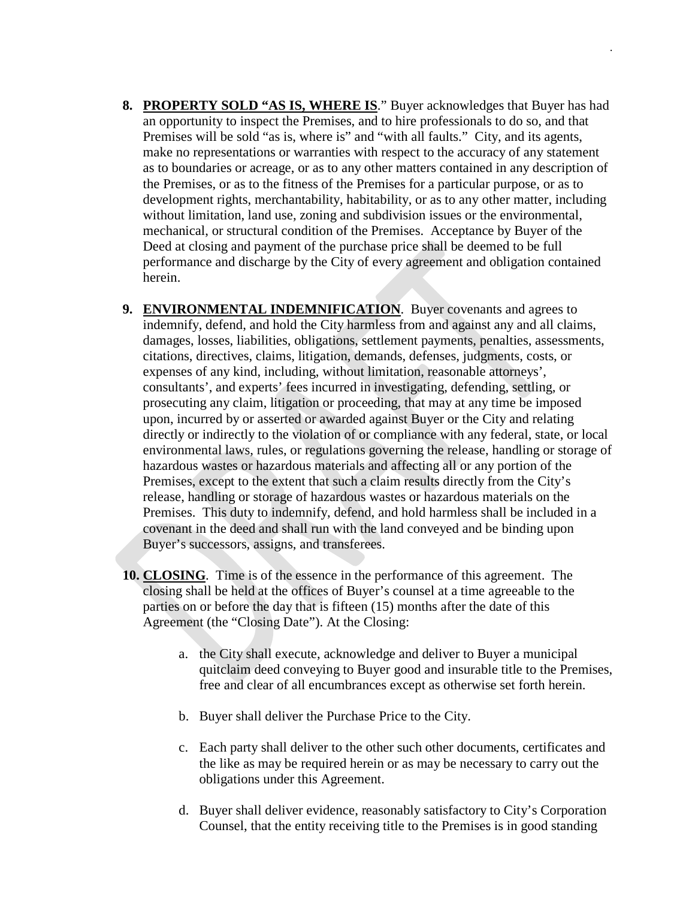**8. PROPERTY SOLD "AS IS, WHERE IS**." Buyer acknowledges that Buyer has had an opportunity to inspect the Premises, and to hire professionals to do so, and that Premises will be sold "as is, where is" and "with all faults." City, and its agents, make no representations or warranties with respect to the accuracy of any statement as to boundaries or acreage, or as to any other matters contained in any description of the Premises, or as to the fitness of the Premises for a particular purpose, or as to development rights, merchantability, habitability, or as to any other matter, including without limitation, land use, zoning and subdivision issues or the environmental, mechanical, or structural condition of the Premises. Acceptance by Buyer of the Deed at closing and payment of the purchase price shall be deemed to be full performance and discharge by the City of every agreement and obligation contained herein.

- **9. ENVIRONMENTAL INDEMNIFICATION**. Buyer covenants and agrees to indemnify, defend, and hold the City harmless from and against any and all claims, damages, losses, liabilities, obligations, settlement payments, penalties, assessments, citations, directives, claims, litigation, demands, defenses, judgments, costs, or expenses of any kind, including, without limitation, reasonable attorneys', consultants', and experts' fees incurred in investigating, defending, settling, or prosecuting any claim, litigation or proceeding, that may at any time be imposed upon, incurred by or asserted or awarded against Buyer or the City and relating directly or indirectly to the violation of or compliance with any federal, state, or local environmental laws, rules, or regulations governing the release, handling or storage of hazardous wastes or hazardous materials and affecting all or any portion of the Premises, except to the extent that such a claim results directly from the City's release, handling or storage of hazardous wastes or hazardous materials on the Premises. This duty to indemnify, defend, and hold harmless shall be included in a covenant in the deed and shall run with the land conveyed and be binding upon Buyer's successors, assigns, and transferees.
- **10. CLOSING**. Time is of the essence in the performance of this agreement. The closing shall be held at the offices of Buyer's counsel at a time agreeable to the parties on or before the day that is fifteen (15) months after the date of this Agreement (the "Closing Date"). At the Closing:
	- a. the City shall execute, acknowledge and deliver to Buyer a municipal quitclaim deed conveying to Buyer good and insurable title to the Premises, free and clear of all encumbrances except as otherwise set forth herein.
	- b. Buyer shall deliver the Purchase Price to the City.
	- c. Each party shall deliver to the other such other documents, certificates and the like as may be required herein or as may be necessary to carry out the obligations under this Agreement.
	- d. Buyer shall deliver evidence, reasonably satisfactory to City's Corporation Counsel, that the entity receiving title to the Premises is in good standing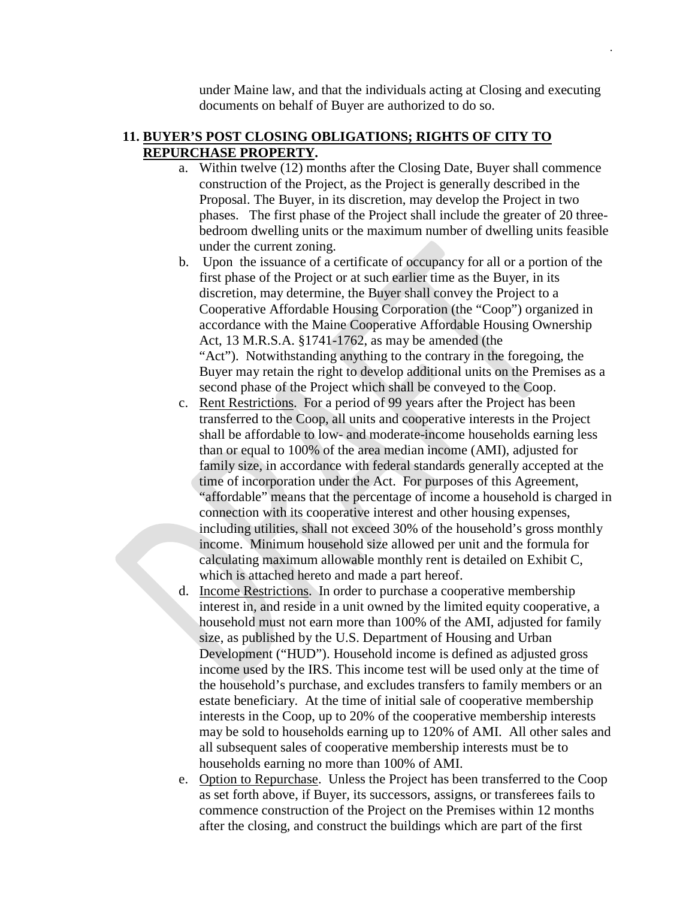under Maine law, and that the individuals acting at Closing and executing documents on behalf of Buyer are authorized to do so.

.

## **11. BUYER'S POST CLOSING OBLIGATIONS; RIGHTS OF CITY TO REPURCHASE PROPERTY.**

- a. Within twelve (12) months after the Closing Date, Buyer shall commence construction of the Project, as the Project is generally described in the Proposal. The Buyer, in its discretion, may develop the Project in two phases. The first phase of the Project shall include the greater of 20 threebedroom dwelling units or the maximum number of dwelling units feasible under the current zoning.
- b. Upon the issuance of a certificate of occupancy for all or a portion of the first phase of the Project or at such earlier time as the Buyer, in its discretion, may determine, the Buyer shall convey the Project to a Cooperative Affordable Housing Corporation (the "Coop") organized in accordance with the Maine Cooperative Affordable Housing Ownership Act, 13 M.R.S.A. §1741-1762, as may be amended (the "Act"). Notwithstanding anything to the contrary in the foregoing, the Buyer may retain the right to develop additional units on the Premises as a second phase of the Project which shall be conveyed to the Coop.
- c. Rent Restrictions. For a period of 99 years after the Project has been transferred to the Coop, all units and cooperative interests in the Project shall be affordable to low- and moderate-income households earning less than or equal to 100% of the area median income (AMI), adjusted for family size, in accordance with federal standards generally accepted at the time of incorporation under the Act. For purposes of this Agreement, "affordable" means that the percentage of income a household is charged in connection with its cooperative interest and other housing expenses, including utilities, shall not exceed 30% of the household's gross monthly income. Minimum household size allowed per unit and the formula for calculating maximum allowable monthly rent is detailed on Exhibit C, which is attached hereto and made a part hereof.
- d. Income Restrictions. In order to purchase a cooperative membership interest in, and reside in a unit owned by the limited equity cooperative, a household must not earn more than 100% of the AMI, adjusted for family size, as published by the U.S. Department of Housing and Urban Development ("HUD"). Household income is defined as adjusted gross income used by the IRS. This income test will be used only at the time of the household's purchase, and excludes transfers to family members or an estate beneficiary. At the time of initial sale of cooperative membership interests in the Coop, up to 20% of the cooperative membership interests may be sold to households earning up to 120% of AMI. All other sales and all subsequent sales of cooperative membership interests must be to households earning no more than 100% of AMI.
- e. Option to Repurchase. Unless the Project has been transferred to the Coop as set forth above, if Buyer, its successors, assigns, or transferees fails to commence construction of the Project on the Premises within 12 months after the closing, and construct the buildings which are part of the first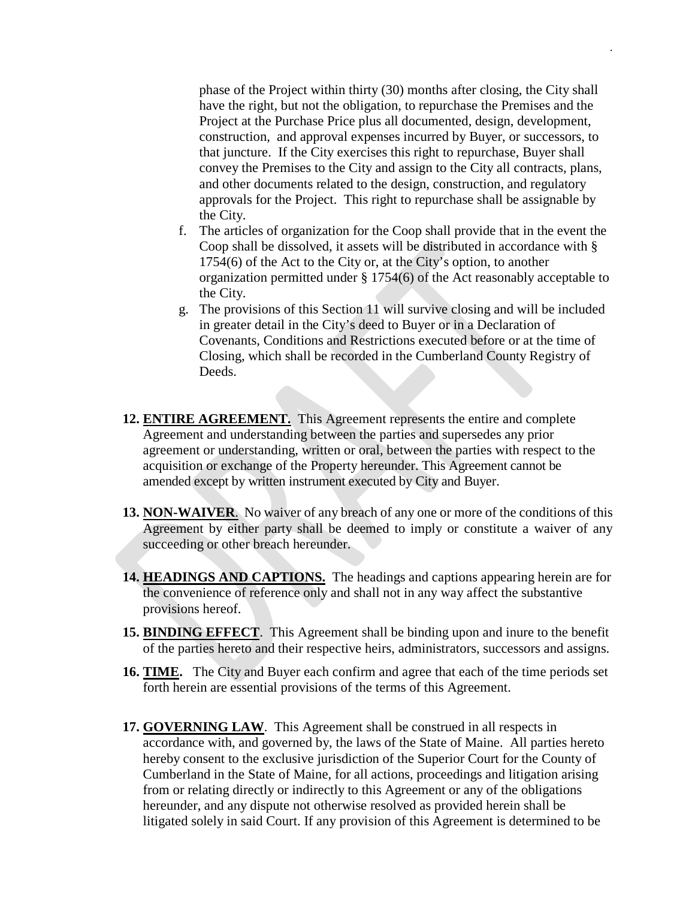phase of the Project within thirty (30) months after closing, the City shall have the right, but not the obligation, to repurchase the Premises and the Project at the Purchase Price plus all documented, design, development, construction, and approval expenses incurred by Buyer, or successors, to that juncture. If the City exercises this right to repurchase, Buyer shall convey the Premises to the City and assign to the City all contracts, plans, and other documents related to the design, construction, and regulatory approvals for the Project. This right to repurchase shall be assignable by the City.

- f. The articles of organization for the Coop shall provide that in the event the Coop shall be dissolved, it assets will be distributed in accordance with § 1754(6) of the Act to the City or, at the City's option, to another organization permitted under § 1754(6) of the Act reasonably acceptable to the City.
- g. The provisions of this Section 11 will survive closing and will be included in greater detail in the City's deed to Buyer or in a Declaration of Covenants, Conditions and Restrictions executed before or at the time of Closing, which shall be recorded in the Cumberland County Registry of Deeds.
- **12. ENTIRE AGREEMENT.** This Agreement represents the entire and complete Agreement and understanding between the parties and supersedes any prior agreement or understanding, written or oral, between the parties with respect to the acquisition or exchange of the Property hereunder. This Agreement cannot be amended except by written instrument executed by City and Buyer.
- **13. NON-WAIVER**. No waiver of any breach of any one or more of the conditions of this Agreement by either party shall be deemed to imply or constitute a waiver of any succeeding or other breach hereunder.
- **14. HEADINGS AND CAPTIONS.** The headings and captions appearing herein are for the convenience of reference only and shall not in any way affect the substantive provisions hereof.
- **15. BINDING EFFECT**. This Agreement shall be binding upon and inure to the benefit of the parties hereto and their respective heirs, administrators, successors and assigns.
- **16. TIME.** The City and Buyer each confirm and agree that each of the time periods set forth herein are essential provisions of the terms of this Agreement.
- **17. GOVERNING LAW**. This Agreement shall be construed in all respects in accordance with, and governed by, the laws of the State of Maine. All parties hereto hereby consent to the exclusive jurisdiction of the Superior Court for the County of Cumberland in the State of Maine, for all actions, proceedings and litigation arising from or relating directly or indirectly to this Agreement or any of the obligations hereunder, and any dispute not otherwise resolved as provided herein shall be litigated solely in said Court. If any provision of this Agreement is determined to be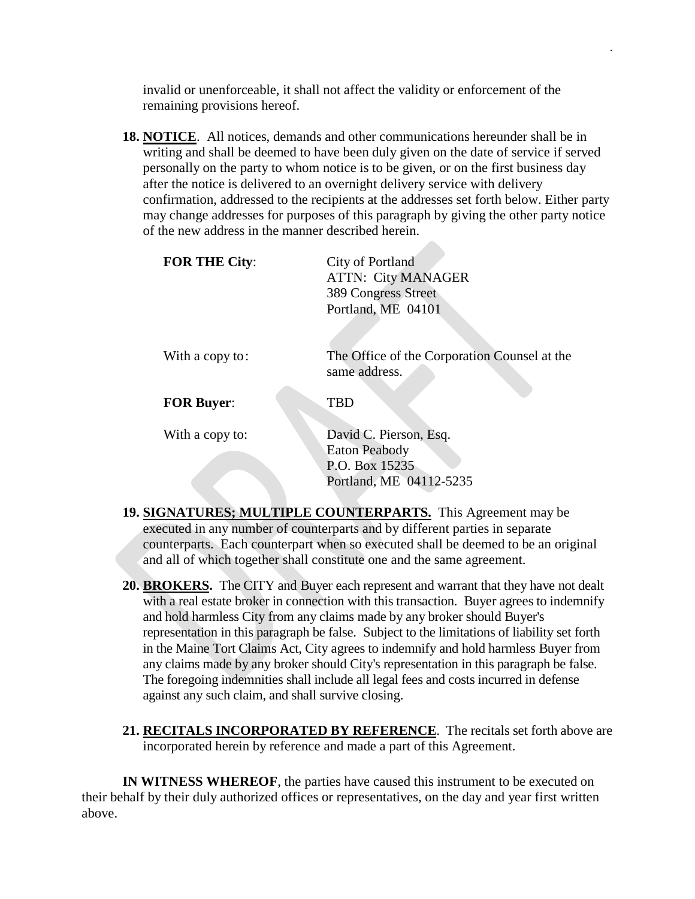invalid or unenforceable, it shall not affect the validity or enforcement of the remaining provisions hereof.

.

**18. NOTICE**. All notices, demands and other communications hereunder shall be in writing and shall be deemed to have been duly given on the date of service if served personally on the party to whom notice is to be given, or on the first business day after the notice is delivered to an overnight delivery service with delivery confirmation, addressed to the recipients at the addresses set forth below. Either party may change addresses for purposes of this paragraph by giving the other party notice of the new address in the manner described herein.

| <b>FOR THE City:</b> | City of Portland<br><b>ATTN: City MANAGER</b><br>389 Congress Street<br>Portland, ME 04101  |
|----------------------|---------------------------------------------------------------------------------------------|
| With a copy to:      | The Office of the Corporation Counsel at the<br>same address.                               |
| <b>FOR Buyer:</b>    | TBD                                                                                         |
| With a copy to:      | David C. Pierson, Esq.<br><b>Eaton Peabody</b><br>P.O. Box 15235<br>Portland, ME 04112-5235 |

- **19. SIGNATURES; MULTIPLE COUNTERPARTS.** This Agreement may be executed in any number of counterparts and by different parties in separate counterparts. Each counterpart when so executed shall be deemed to be an original and all of which together shall constitute one and the same agreement.
- **20. BROKERS.** The CITY and Buyer each represent and warrant that they have not dealt with a real estate broker in connection with this transaction. Buyer agrees to indemnify and hold harmless City from any claims made by any broker should Buyer's representation in this paragraph be false. Subject to the limitations of liability set forth in the Maine Tort Claims Act, City agrees to indemnify and hold harmless Buyer from any claims made by any broker should City's representation in this paragraph be false. The foregoing indemnities shall include all legal fees and costs incurred in defense against any such claim, and shall survive closing.
- **21. RECITALS INCORPORATED BY REFERENCE**. The recitals set forth above are incorporated herein by reference and made a part of this Agreement.

**IN WITNESS WHEREOF**, the parties have caused this instrument to be executed on their behalf by their duly authorized offices or representatives, on the day and year first written above.